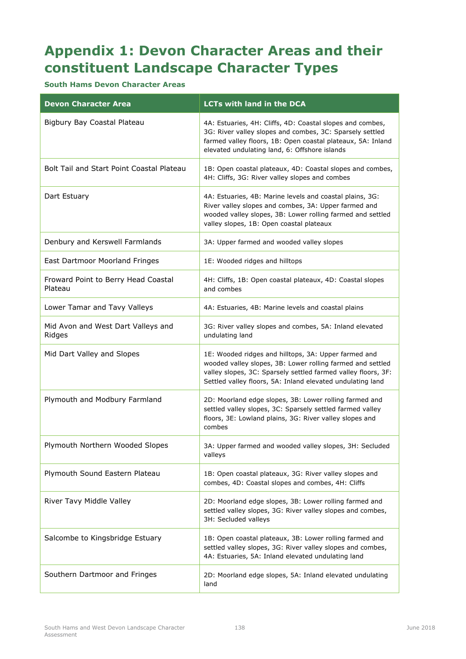# **Appendix 1: Devon Character Areas and their constituent Landscape Character Types**

## **South Hams Devon Character Areas**

| <b>Devon Character Area</b>                    | <b>LCTs with land in the DCA</b>                                                                                                                                                                                                                  |
|------------------------------------------------|---------------------------------------------------------------------------------------------------------------------------------------------------------------------------------------------------------------------------------------------------|
| Bigbury Bay Coastal Plateau                    | 4A: Estuaries, 4H: Cliffs, 4D: Coastal slopes and combes,<br>3G: River valley slopes and combes, 3C: Sparsely settled<br>farmed valley floors, 1B: Open coastal plateaux, 5A: Inland<br>elevated undulating land, 6: Offshore islands             |
| Bolt Tail and Start Point Coastal Plateau      | 1B: Open coastal plateaux, 4D: Coastal slopes and combes,<br>4H: Cliffs, 3G: River valley slopes and combes                                                                                                                                       |
| Dart Estuary                                   | 4A: Estuaries, 4B: Marine levels and coastal plains, 3G:<br>River valley slopes and combes, 3A: Upper farmed and<br>wooded valley slopes, 3B: Lower rolling farmed and settled<br>valley slopes, 1B: Open coastal plateaux                        |
| Denbury and Kerswell Farmlands                 | 3A: Upper farmed and wooded valley slopes                                                                                                                                                                                                         |
| East Dartmoor Moorland Fringes                 | 1E: Wooded ridges and hilltops                                                                                                                                                                                                                    |
| Froward Point to Berry Head Coastal<br>Plateau | 4H: Cliffs, 1B: Open coastal plateaux, 4D: Coastal slopes<br>and combes                                                                                                                                                                           |
| Lower Tamar and Tavy Valleys                   | 4A: Estuaries, 4B: Marine levels and coastal plains                                                                                                                                                                                               |
| Mid Avon and West Dart Valleys and<br>Ridges   | 3G: River valley slopes and combes, 5A: Inland elevated<br>undulating land                                                                                                                                                                        |
| Mid Dart Valley and Slopes                     | 1E: Wooded ridges and hilltops, 3A: Upper farmed and<br>wooded valley slopes, 3B: Lower rolling farmed and settled<br>valley slopes, 3C: Sparsely settled farmed valley floors, 3F:<br>Settled valley floors, 5A: Inland elevated undulating land |
| Plymouth and Modbury Farmland                  | 2D: Moorland edge slopes, 3B: Lower rolling farmed and<br>settled valley slopes, 3C: Sparsely settled farmed valley<br>floors, 3E: Lowland plains, 3G: River valley slopes and<br>combes                                                          |
| Plymouth Northern Wooded Slopes                | 3A: Upper farmed and wooded valley slopes, 3H: Secluded<br>valleys                                                                                                                                                                                |
| Plymouth Sound Eastern Plateau                 | 1B: Open coastal plateaux, 3G: River valley slopes and<br>combes, 4D: Coastal slopes and combes, 4H: Cliffs                                                                                                                                       |
| River Tavy Middle Valley                       | 2D: Moorland edge slopes, 3B: Lower rolling farmed and<br>settled valley slopes, 3G: River valley slopes and combes,<br>3H: Secluded valleys                                                                                                      |
| Salcombe to Kingsbridge Estuary                | 1B: Open coastal plateaux, 3B: Lower rolling farmed and<br>settled valley slopes, 3G: River valley slopes and combes,<br>4A: Estuaries, 5A: Inland elevated undulating land                                                                       |
| Southern Dartmoor and Fringes                  | 2D: Moorland edge slopes, 5A: Inland elevated undulating<br>land                                                                                                                                                                                  |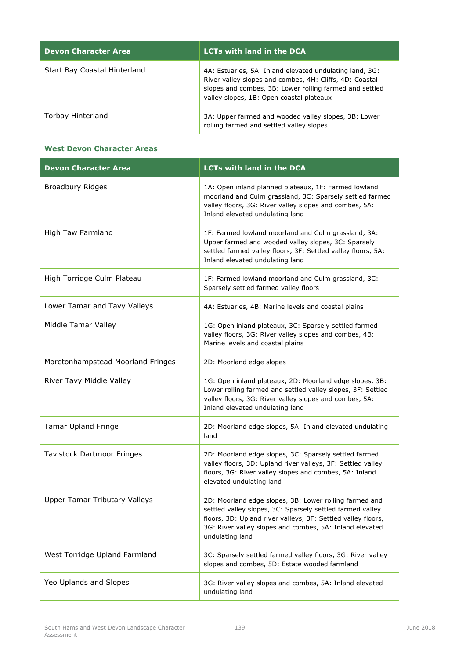| <b>Devon Character Area</b>  | <b>LCTs with land in the DCA.</b>                                                                                                                                                                                         |
|------------------------------|---------------------------------------------------------------------------------------------------------------------------------------------------------------------------------------------------------------------------|
| Start Bay Coastal Hinterland | 4A: Estuaries, 5A: Inland elevated undulating land, 3G:<br>River valley slopes and combes, 4H: Cliffs, 4D: Coastal<br>slopes and combes, 3B: Lower rolling farmed and settled<br>valley slopes, 1B: Open coastal plateaux |
| Torbay Hinterland            | 3A: Upper farmed and wooded valley slopes, 3B: Lower<br>rolling farmed and settled valley slopes                                                                                                                          |

#### **West Devon Character Areas**

| <b>Devon Character Area</b>          | <b>LCTs with land in the DCA</b>                                                                                                                                                                                                                                  |
|--------------------------------------|-------------------------------------------------------------------------------------------------------------------------------------------------------------------------------------------------------------------------------------------------------------------|
| <b>Broadbury Ridges</b>              | 1A: Open inland planned plateaux, 1F: Farmed lowland<br>moorland and Culm grassland, 3C: Sparsely settled farmed<br>valley floors, 3G: River valley slopes and combes, 5A:<br>Inland elevated undulating land                                                     |
| High Taw Farmland                    | 1F: Farmed lowland moorland and Culm grassland, 3A:<br>Upper farmed and wooded valley slopes, 3C: Sparsely<br>settled farmed valley floors, 3F: Settled valley floors, 5A:<br>Inland elevated undulating land                                                     |
| High Torridge Culm Plateau           | 1F: Farmed lowland moorland and Culm grassland, 3C:<br>Sparsely settled farmed valley floors                                                                                                                                                                      |
| Lower Tamar and Tavy Valleys         | 4A: Estuaries, 4B: Marine levels and coastal plains                                                                                                                                                                                                               |
| Middle Tamar Valley                  | 1G: Open inland plateaux, 3C: Sparsely settled farmed<br>valley floors, 3G: River valley slopes and combes, 4B:<br>Marine levels and coastal plains                                                                                                               |
| Moretonhampstead Moorland Fringes    | 2D: Moorland edge slopes                                                                                                                                                                                                                                          |
| River Tavy Middle Valley             | 1G: Open inland plateaux, 2D: Moorland edge slopes, 3B:<br>Lower rolling farmed and settled valley slopes, 3F: Settled<br>valley floors, 3G: River valley slopes and combes, 5A:<br>Inland elevated undulating land                                               |
| <b>Tamar Upland Fringe</b>           | 2D: Moorland edge slopes, 5A: Inland elevated undulating<br>land                                                                                                                                                                                                  |
| <b>Tavistock Dartmoor Fringes</b>    | 2D: Moorland edge slopes, 3C: Sparsely settled farmed<br>valley floors, 3D: Upland river valleys, 3F: Settled valley<br>floors, 3G: River valley slopes and combes, 5A: Inland<br>elevated undulating land                                                        |
| <b>Upper Tamar Tributary Valleys</b> | 2D: Moorland edge slopes, 3B: Lower rolling farmed and<br>settled valley slopes, 3C: Sparsely settled farmed valley<br>floors, 3D: Upland river valleys, 3F: Settled valley floors,<br>3G: River valley slopes and combes, 5A: Inland elevated<br>undulating land |
| West Torridge Upland Farmland        | 3C: Sparsely settled farmed valley floors, 3G: River valley<br>slopes and combes, 5D: Estate wooded farmland                                                                                                                                                      |
| Yeo Uplands and Slopes               | 3G: River valley slopes and combes, 5A: Inland elevated<br>undulating land                                                                                                                                                                                        |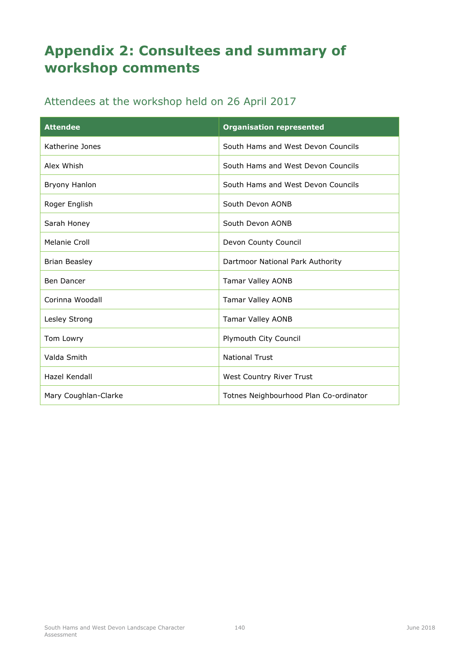# **Appendix 2: Consultees and summary of workshop comments**

## Attendees at the workshop held on 26 April 2017

| <b>Attendee</b>      | <b>Organisation represented</b>        |
|----------------------|----------------------------------------|
| Katherine Jones      | South Hams and West Devon Councils     |
| Alex Whish           | South Hams and West Devon Councils     |
| <b>Bryony Hanlon</b> | South Hams and West Devon Councils     |
| Roger English        | South Devon AONB                       |
| Sarah Honey          | South Devon AONB                       |
| Melanie Croll        | Devon County Council                   |
| <b>Brian Beasley</b> | Dartmoor National Park Authority       |
| Ben Dancer           | <b>Tamar Valley AONB</b>               |
| Corinna Woodall      | <b>Tamar Valley AONB</b>               |
| Lesley Strong        | <b>Tamar Valley AONB</b>               |
| Tom Lowry            | Plymouth City Council                  |
| Valda Smith          | <b>National Trust</b>                  |
| Hazel Kendall        | West Country River Trust               |
| Mary Coughlan-Clarke | Totnes Neighbourhood Plan Co-ordinator |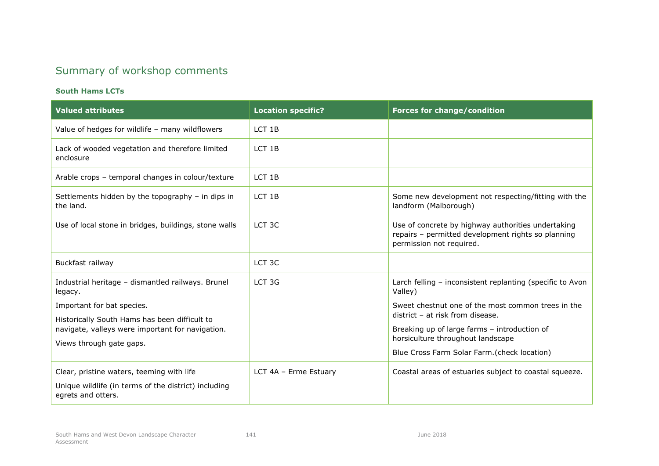## Summary of workshop comments

## **South Hams LCTs**

| <b>Valued attributes</b>                                                                                                      | <b>Location specific?</b> | <b>Forces for change/condition</b>                                                                                                   |
|-------------------------------------------------------------------------------------------------------------------------------|---------------------------|--------------------------------------------------------------------------------------------------------------------------------------|
| Value of hedges for wildlife - many wildflowers                                                                               | LCT <sub>1B</sub>         |                                                                                                                                      |
| Lack of wooded vegetation and therefore limited<br>enclosure                                                                  | LCT <sub>1B</sub>         |                                                                                                                                      |
| Arable crops - temporal changes in colour/texture                                                                             | LCT <sub>1B</sub>         |                                                                                                                                      |
| Settlements hidden by the topography - in dips in<br>the land.                                                                | LCT <sub>1B</sub>         | Some new development not respecting/fitting with the<br>landform (Malborough)                                                        |
| Use of local stone in bridges, buildings, stone walls                                                                         | LCT 3C                    | Use of concrete by highway authorities undertaking<br>repairs - permitted development rights so planning<br>permission not required. |
| Buckfast railway                                                                                                              | LCT <sub>3C</sub>         |                                                                                                                                      |
| Industrial heritage - dismantled railways. Brunel<br>legacy.                                                                  | LCT <sub>3G</sub>         | Larch felling - inconsistent replanting (specific to Avon<br>Valley)                                                                 |
| Important for bat species.                                                                                                    |                           | Sweet chestnut one of the most common trees in the<br>district - at risk from disease.                                               |
| Historically South Hams has been difficult to<br>navigate, valleys were important for navigation.<br>Views through gate gaps. |                           | Breaking up of large farms - introduction of<br>horsiculture throughout landscape                                                    |
|                                                                                                                               |                           | Blue Cross Farm Solar Farm.(check location)                                                                                          |
| Clear, pristine waters, teeming with life                                                                                     | LCT 4A - Erme Estuary     | Coastal areas of estuaries subject to coastal squeeze.                                                                               |
| Unique wildlife (in terms of the district) including<br>egrets and otters.                                                    |                           |                                                                                                                                      |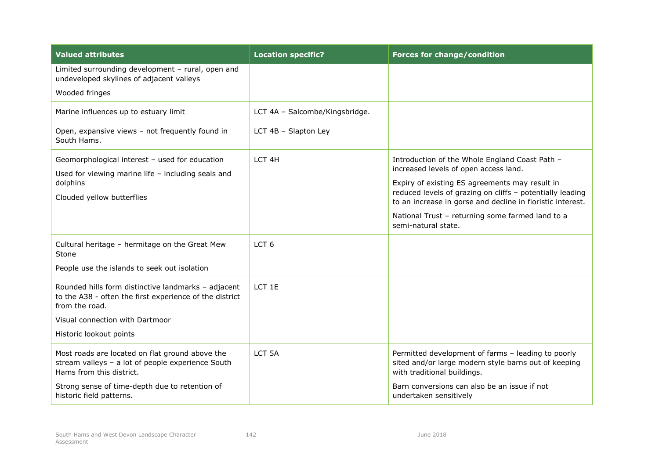| <b>Valued attributes</b>                                                                                                         | <b>Location specific?</b>      | <b>Forces for change/condition</b>                                                                                                        |
|----------------------------------------------------------------------------------------------------------------------------------|--------------------------------|-------------------------------------------------------------------------------------------------------------------------------------------|
| Limited surrounding development - rural, open and<br>undeveloped skylines of adjacent valleys                                    |                                |                                                                                                                                           |
| Wooded fringes                                                                                                                   |                                |                                                                                                                                           |
| Marine influences up to estuary limit                                                                                            | LCT 4A - Salcombe/Kingsbridge. |                                                                                                                                           |
| Open, expansive views - not frequently found in<br>South Hams.                                                                   | LCT 4B - Slapton Ley           |                                                                                                                                           |
| Geomorphological interest - used for education                                                                                   | LCT <sub>4H</sub>              | Introduction of the Whole England Coast Path -                                                                                            |
| Used for viewing marine life - including seals and<br>dolphins                                                                   |                                | increased levels of open access land.<br>Expiry of existing ES agreements may result in                                                   |
| Clouded yellow butterflies                                                                                                       |                                | reduced levels of grazing on cliffs - potentially leading<br>to an increase in gorse and decline in floristic interest.                   |
|                                                                                                                                  |                                | National Trust - returning some farmed land to a<br>semi-natural state.                                                                   |
| Cultural heritage - hermitage on the Great Mew<br>Stone                                                                          | LCT <sub>6</sub>               |                                                                                                                                           |
| People use the islands to seek out isolation                                                                                     |                                |                                                                                                                                           |
| Rounded hills form distinctive landmarks - adjacent<br>to the A38 - often the first experience of the district<br>from the road. | LCT <sub>1E</sub>              |                                                                                                                                           |
| Visual connection with Dartmoor                                                                                                  |                                |                                                                                                                                           |
| Historic lookout points                                                                                                          |                                |                                                                                                                                           |
| Most roads are located on flat ground above the<br>stream valleys - a lot of people experience South<br>Hams from this district. | LCT <sub>5A</sub>              | Permitted development of farms - leading to poorly<br>sited and/or large modern style barns out of keeping<br>with traditional buildings. |
| Strong sense of time-depth due to retention of<br>historic field patterns.                                                       |                                | Barn conversions can also be an issue if not<br>undertaken sensitively                                                                    |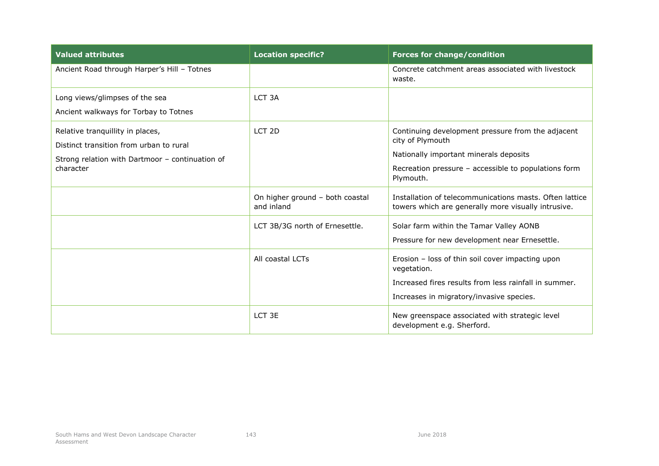| <b>Valued attributes</b>                                                                                                                    | <b>Location specific?</b>                     | <b>Forces for change/condition</b>                                                                                                                                                   |
|---------------------------------------------------------------------------------------------------------------------------------------------|-----------------------------------------------|--------------------------------------------------------------------------------------------------------------------------------------------------------------------------------------|
| Ancient Road through Harper's Hill - Totnes                                                                                                 |                                               | Concrete catchment areas associated with livestock<br>waste.                                                                                                                         |
| Long views/glimpses of the sea<br>Ancient walkways for Torbay to Totnes                                                                     | LCT <sub>3</sub> A                            |                                                                                                                                                                                      |
| Relative tranquillity in places,<br>Distinct transition from urban to rural<br>Strong relation with Dartmoor - continuation of<br>character | LCT <sub>2D</sub>                             | Continuing development pressure from the adjacent<br>city of Plymouth<br>Nationally important minerals deposits<br>Recreation pressure - accessible to populations form<br>Plymouth. |
|                                                                                                                                             | On higher ground - both coastal<br>and inland | Installation of telecommunications masts. Often lattice<br>towers which are generally more visually intrusive.                                                                       |
|                                                                                                                                             | LCT 3B/3G north of Ernesettle.                | Solar farm within the Tamar Valley AONB<br>Pressure for new development near Ernesettle.                                                                                             |
|                                                                                                                                             | All coastal LCTs                              | Erosion - loss of thin soil cover impacting upon<br>vegetation.<br>Increased fires results from less rainfall in summer.<br>Increases in migratory/invasive species.                 |
|                                                                                                                                             | LCT <sub>3E</sub>                             | New greenspace associated with strategic level<br>development e.g. Sherford.                                                                                                         |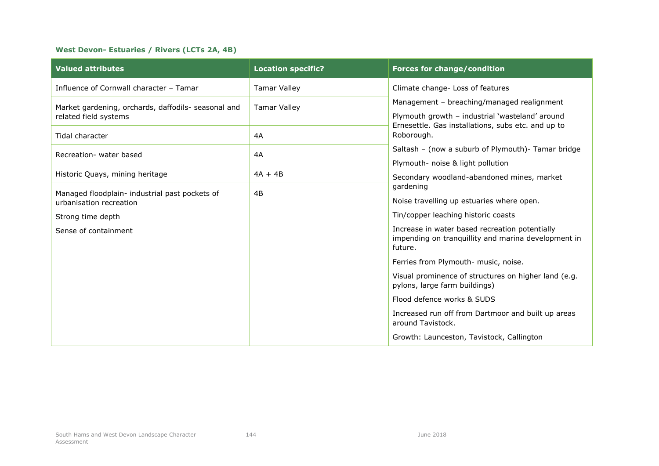## **West Devon- Estuaries / Rivers (LCTs 2A, 4B)**

| <b>Valued attributes</b>                            | <b>Location specific?</b> | <b>Forces for change/condition</b>                                                                               |
|-----------------------------------------------------|---------------------------|------------------------------------------------------------------------------------------------------------------|
| Influence of Cornwall character - Tamar             | <b>Tamar Valley</b>       | Climate change- Loss of features                                                                                 |
| Market gardening, orchards, daffodils- seasonal and | <b>Tamar Valley</b>       | Management - breaching/managed realignment                                                                       |
| related field systems                               |                           | Plymouth growth - industrial 'wasteland' around                                                                  |
| Tidal character                                     | 4A                        | Ernesettle. Gas installations, subs etc. and up to<br>Roborough.                                                 |
| Recreation- water based                             | 4A                        | Saltash - (now a suburb of Plymouth) - Tamar bridge                                                              |
|                                                     |                           | Plymouth- noise & light pollution                                                                                |
| Historic Quays, mining heritage                     | $4A + 4B$                 | Secondary woodland-abandoned mines, market                                                                       |
| Managed floodplain- industrial past pockets of      | 4B                        | gardening                                                                                                        |
| urbanisation recreation                             |                           | Noise travelling up estuaries where open.                                                                        |
| Strong time depth                                   |                           | Tin/copper leaching historic coasts                                                                              |
| Sense of containment                                |                           | Increase in water based recreation potentially<br>impending on tranquillity and marina development in<br>future. |
|                                                     |                           | Ferries from Plymouth- music, noise.                                                                             |
|                                                     |                           | Visual prominence of structures on higher land (e.g.<br>pylons, large farm buildings)                            |
|                                                     |                           | Flood defence works & SUDS                                                                                       |
|                                                     |                           | Increased run off from Dartmoor and built up areas<br>around Tavistock.                                          |
|                                                     |                           | Growth: Launceston, Tavistock, Callington                                                                        |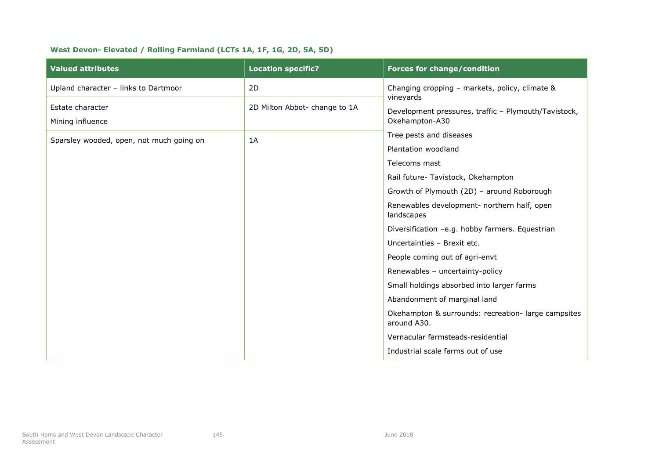| <b>Valued attributes</b>                 | <b>Location specific?</b>     | <b>Forces for change/condition</b>                                                  |
|------------------------------------------|-------------------------------|-------------------------------------------------------------------------------------|
| Upland character - links to Dartmoor     | 2 <sub>D</sub>                | Changing cropping - markets, policy, climate &                                      |
| Estate character<br>Mining influence     | 2D Milton Abbot- change to 1A | vineyards<br>Development pressures, traffic - Plymouth/Tavistock,<br>Okehampton-A30 |
| Sparsley wooded, open, not much going on | 1A                            | Tree pests and diseases                                                             |
|                                          |                               | Plantation woodland                                                                 |
|                                          |                               | Telecoms mast                                                                       |
|                                          |                               | Rail future- Tavistock, Okehampton                                                  |
|                                          |                               | Growth of Plymouth (2D) - around Roborough                                          |
|                                          |                               | Renewables development- northern half, open<br>landscapes                           |
|                                          |                               | Diversification -e.g. hobby farmers. Equestrian                                     |
|                                          |                               | Uncertainties - Brexit etc.                                                         |
|                                          |                               | People coming out of agri-envt                                                      |
|                                          |                               | Renewables - uncertainty-policy                                                     |
|                                          |                               | Small holdings absorbed into larger farms                                           |
|                                          |                               | Abandonment of marginal land                                                        |
|                                          |                               | Okehampton & surrounds: recreation- large campsites<br>around A30.                  |
|                                          |                               | Vernacular farmsteads-residential                                                   |
|                                          |                               | Industrial scale farms out of use                                                   |

## **West Devon- Elevated / Rolling Farmland (LCTs 1A, 1F, 1G, 2D, 5A, 5D)**